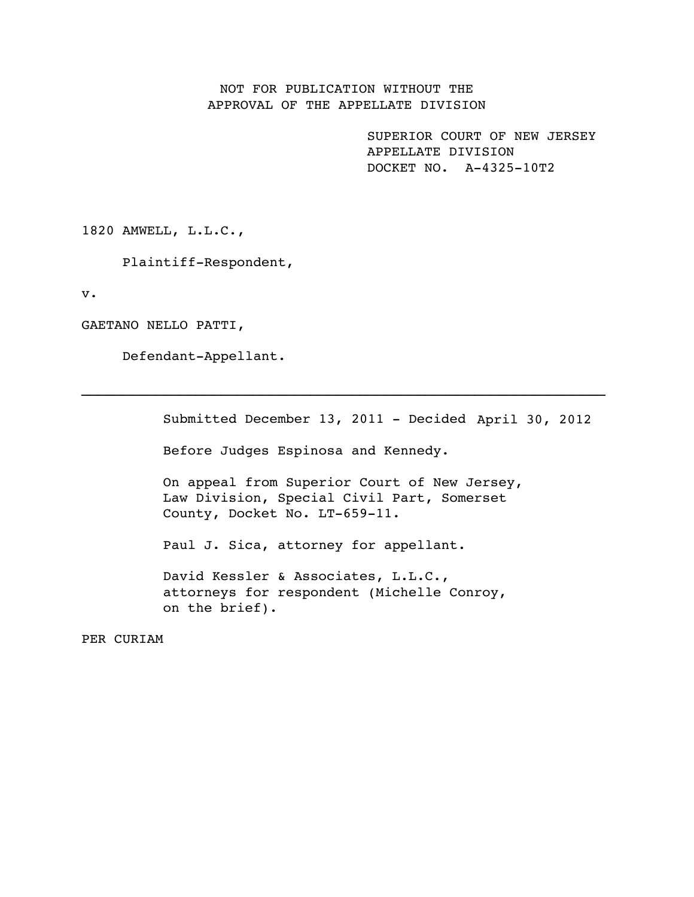## NOT FOR PUBLICATION WITHOUT THE APPROVAL OF THE APPELLATE DIVISION

 SUPERIOR COURT OF NEW JERSEY APPELLATE DIVISION DOCKET NO. A-4325-10T2

1820 AMWELL, L.L.C.,

Plaintiff-Respondent,

v.

GAETANO NELLO PATTI,

Defendant-Appellant.

Submitted December 13, 2011 - Decided April 30, 2012Before Judges Espinosa and Kennedy. On appeal from Superior Court of New Jersey, Law Division, Special Civil Part, Somerset County, Docket No. LT-659-11. Paul J. Sica, attorney for appellant. David Kessler & Associates, L.L.C.,

 $\mathcal{L}_\text{max} = \mathcal{L}_\text{max} = \mathcal{L}_\text{max} = \mathcal{L}_\text{max} = \mathcal{L}_\text{max} = \mathcal{L}_\text{max} = \mathcal{L}_\text{max} = \mathcal{L}_\text{max} = \mathcal{L}_\text{max} = \mathcal{L}_\text{max} = \mathcal{L}_\text{max} = \mathcal{L}_\text{max} = \mathcal{L}_\text{max} = \mathcal{L}_\text{max} = \mathcal{L}_\text{max} = \mathcal{L}_\text{max} = \mathcal{L}_\text{max} = \mathcal{L}_\text{max} = \mathcal{$ 

attorneys for respondent (Michelle Conroy, on the brief).

PER CURIAM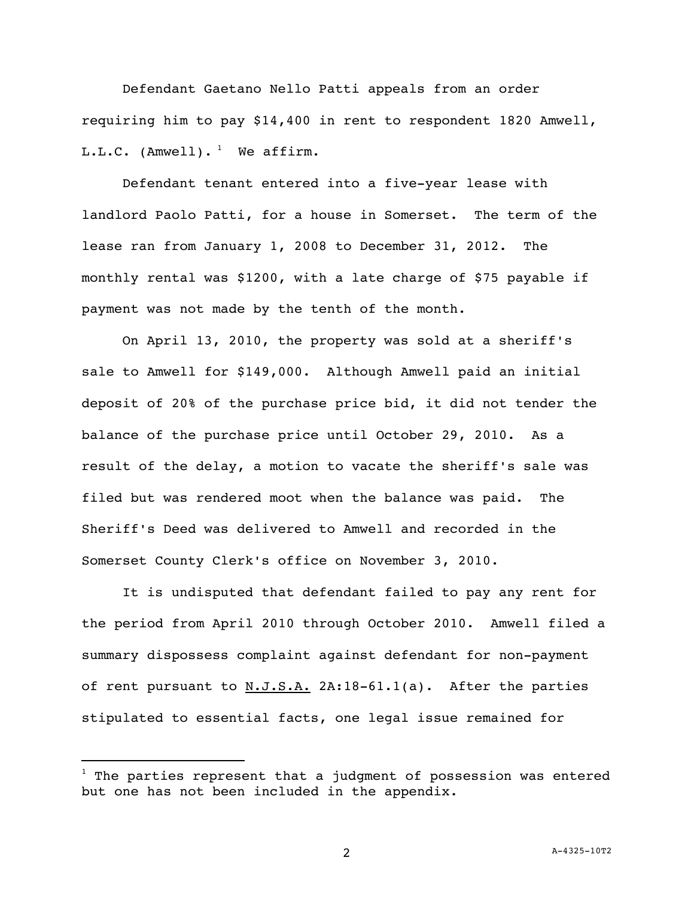Defendant Gaetano Nello Patti appeals from an order requiring him to pay \$14,400 in rent to respondent 1820 Amwell,  $L.L.C.$  (Amwell).<sup>1</sup> We affirm.

 Defendant tenant entered into a five-year lease with landlord Paolo Patti, for a house in Somerset. The term of the lease ran from January 1, 2008 to December 31, 2012. The monthly rental was \$1200, with a late charge of \$75 payable if payment was not made by the tenth of the month.

 On April 13, 2010, the property was sold at a sheriff's sale to Amwell for \$149,000. Although Amwell paid an initial deposit of 20% of the purchase price bid, it did not tender the balance of the purchase price until October 29, 2010. As a result of the delay, a motion to vacate the sheriff's sale was filed but was rendered moot when the balance was paid. The Sheriff's Deed was delivered to Amwell and recorded in the Somerset County Clerk's office on November 3, 2010.

 It is undisputed that defendant failed to pay any rent for the period from April 2010 through October 2010. Amwell filed a summary dispossess complaint against defendant for non-payment of rent pursuant to  $N.J.S.A.$  2A:18-61.1(a). After the parties stipulated to essential facts, one legal issue remained for

i<br>L

 $^1$  The parties represent that a judgment of possession was entered but one has not been included in the appendix.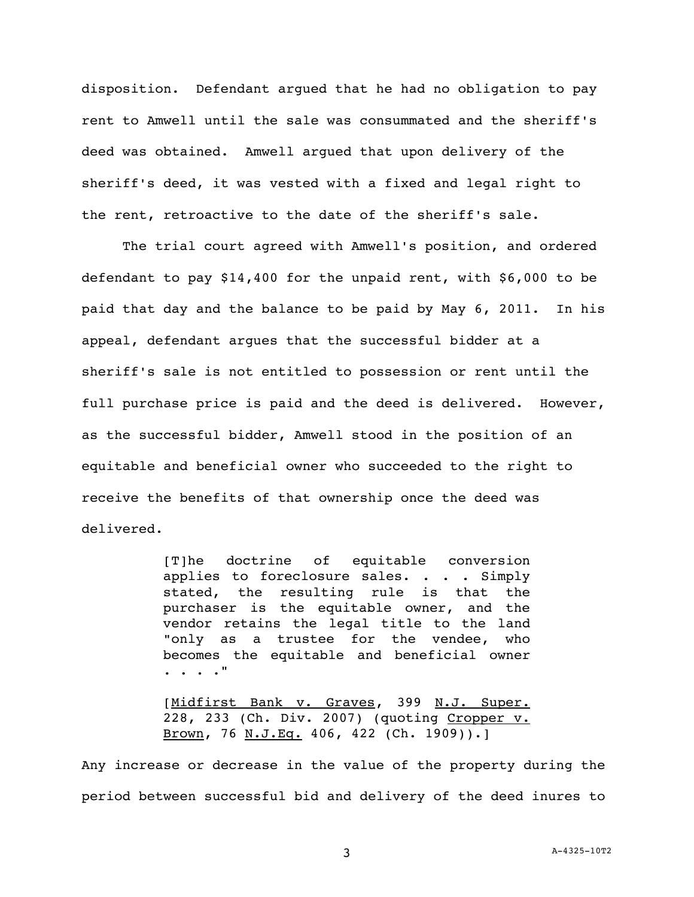disposition. Defendant argued that he had no obligation to pay rent to Amwell until the sale was consummated and the sheriff's deed was obtained. Amwell argued that upon delivery of the sheriff's deed, it was vested with a fixed and legal right to the rent, retroactive to the date of the sheriff's sale.

The trial court agreed with Amwell's position, and ordered defendant to pay \$14,400 for the unpaid rent, with \$6,000 to be paid that day and the balance to be paid by May 6, 2011. In his appeal, defendant argues that the successful bidder at a sheriff's sale is not entitled to possession or rent until the full purchase price is paid and the deed is delivered. However, as the successful bidder, Amwell stood in the position of an equitable and beneficial owner who succeeded to the right to receive the benefits of that ownership once the deed was delivered.

> [T]he doctrine of equitable conversion applies to foreclosure sales. . . . Simply stated, the resulting rule is that the purchaser is the equitable owner, and the vendor retains the legal title to the land "only as a trustee for the vendee, who becomes the equitable and beneficial owner . . . ."

> [Midfirst Bank v. Graves, 399 N.J. Super. 228, 233 (Ch. Div. 2007) (quoting Cropper v. Brown, 76 N.J.Eq. 406, 422 (Ch. 1909)).]

Any increase or decrease in the value of the property during the period between successful bid and delivery of the deed inures to

3 A-4325-10T2